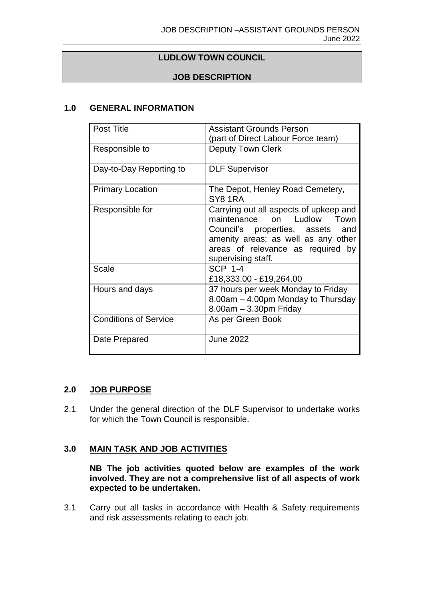### **LUDLOW TOWN COUNCIL**

# **JOB DESCRIPTION**

# **1.0 GENERAL INFORMATION**

| Post Title                   | <b>Assistant Grounds Person</b>                                                                                                                                                                                                   |
|------------------------------|-----------------------------------------------------------------------------------------------------------------------------------------------------------------------------------------------------------------------------------|
|                              | (part of Direct Labour Force team)                                                                                                                                                                                                |
| Responsible to               | <b>Deputy Town Clerk</b>                                                                                                                                                                                                          |
| Day-to-Day Reporting to      | <b>DLF Supervisor</b>                                                                                                                                                                                                             |
| <b>Primary Location</b>      | The Depot, Henley Road Cemetery,<br>SY81RA                                                                                                                                                                                        |
| Responsible for              | Carrying out all aspects of upkeep and<br>maintenance<br>Ludlow<br>Town<br><sub>on</sub><br>Council's properties, assets<br>and<br>amenity areas; as well as any other<br>areas of relevance as required by<br>supervising staff. |
| Scale                        | <b>SCP 1-4</b><br>£18,333.00 - £19,264.00                                                                                                                                                                                         |
| Hours and days               | 37 hours per week Monday to Friday<br>8.00am - 4.00pm Monday to Thursday<br>$8.00am - 3.30pm$ Friday                                                                                                                              |
| <b>Conditions of Service</b> | As per Green Book                                                                                                                                                                                                                 |
| Date Prepared                | <b>June 2022</b>                                                                                                                                                                                                                  |

#### **2.0 JOB PURPOSE**

2.1 Under the general direction of the DLF Supervisor to undertake works for which the Town Council is responsible.

### **3.0 MAIN TASK AND JOB ACTIVITIES**

**NB The job activities quoted below are examples of the work involved. They are not a comprehensive list of all aspects of work expected to be undertaken.**

3.1 Carry out all tasks in accordance with Health & Safety requirements and risk assessments relating to each job.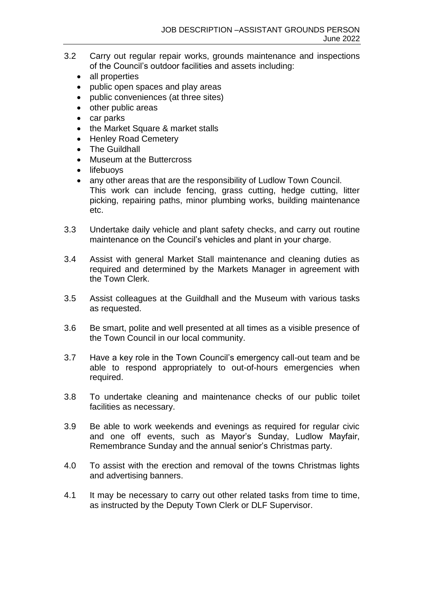- 3.2 Carry out regular repair works, grounds maintenance and inspections of the Council's outdoor facilities and assets including:
	- all properties
	- public open spaces and play areas
	- public conveniences (at three sites)
	- other public areas
	- car parks
	- the Market Square & market stalls
	- Henley Road Cemetery
	- The Guildhall
	- Museum at the Buttercross
	- lifebuovs
	- any other areas that are the responsibility of Ludlow Town Council. This work can include fencing, grass cutting, hedge cutting, litter picking, repairing paths, minor plumbing works, building maintenance etc.
- 3.3 Undertake daily vehicle and plant safety checks, and carry out routine maintenance on the Council's vehicles and plant in your charge.
- 3.4 Assist with general Market Stall maintenance and cleaning duties as required and determined by the Markets Manager in agreement with the Town Clerk.
- 3.5 Assist colleagues at the Guildhall and the Museum with various tasks as requested.
- 3.6 Be smart, polite and well presented at all times as a visible presence of the Town Council in our local community.
- 3.7 Have a key role in the Town Council's emergency call-out team and be able to respond appropriately to out-of-hours emergencies when required.
- 3.8 To undertake cleaning and maintenance checks of our public toilet facilities as necessary.
- 3.9 Be able to work weekends and evenings as required for regular civic and one off events, such as Mayor's Sunday, Ludlow Mayfair, Remembrance Sunday and the annual senior's Christmas party.
- 4.0 To assist with the erection and removal of the towns Christmas lights and advertising banners.
- 4.1 It may be necessary to carry out other related tasks from time to time, as instructed by the Deputy Town Clerk or DLF Supervisor.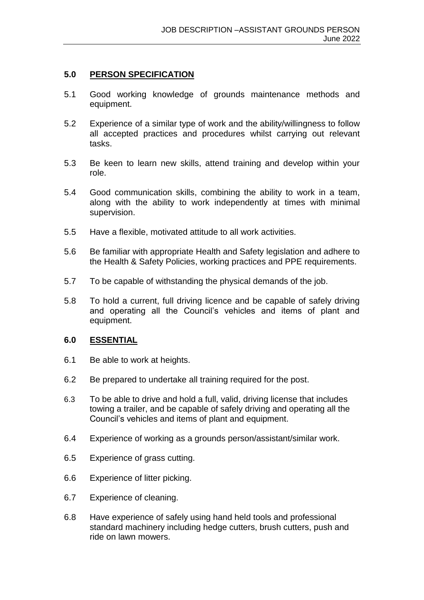#### **5.0 PERSON SPECIFICATION**

- 5.1 Good working knowledge of grounds maintenance methods and equipment.
- 5.2 Experience of a similar type of work and the ability/willingness to follow all accepted practices and procedures whilst carrying out relevant tasks.
- 5.3 Be keen to learn new skills, attend training and develop within your role.
- 5.4 Good communication skills, combining the ability to work in a team, along with the ability to work independently at times with minimal supervision.
- 5.5 Have a flexible, motivated attitude to all work activities.
- 5.6 Be familiar with appropriate Health and Safety legislation and adhere to the Health & Safety Policies, working practices and PPE requirements.
- 5.7 To be capable of withstanding the physical demands of the job.
- 5.8 To hold a current, full driving licence and be capable of safely driving and operating all the Council's vehicles and items of plant and equipment.

#### **6.0 ESSENTIAL**

- 6.1 Be able to work at heights.
- 6.2 Be prepared to undertake all training required for the post.
- 6.3 To be able to drive and hold a full, valid, driving license that includes towing a trailer, and be capable of safely driving and operating all the Council's vehicles and items of plant and equipment.
- 6.4 Experience of working as a grounds person/assistant/similar work.
- 6.5 Experience of grass cutting.
- 6.6 Experience of litter picking.
- 6.7 Experience of cleaning.
- 6.8 Have experience of safely using hand held tools and professional standard machinery including hedge cutters, brush cutters, push and ride on lawn mowers.